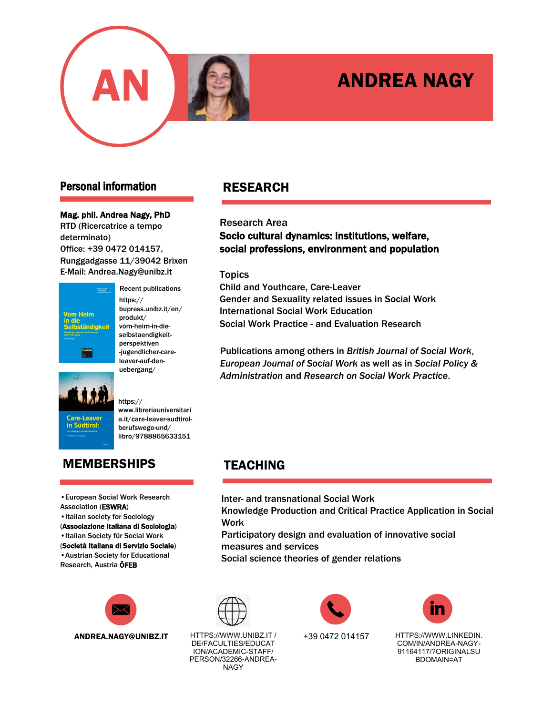

# ANDREA NAGY

### Personal information

#### Mag. phil. Andrea Nagy, PhD

RTD (Ricercatrice a tempo determinato) Office: +39 0472 014157, Runggadgasse 11/39042 Brixen E-Mail: Andrea.Nagy@unibz.it



Recent publications https:// bupress.unibz.it/en/ produkt/ vom-heim-in-dieselbstaendigkeitperspektiven -jugendlicher-careleaver-auf-denuebergang/



https:// www.libreriauniversitari a.it/care-leaver-sudtirolberufswege-und/ libro/9788865633151

# MEMBERSHIPS

•European Social Work Research Association (ESWRA)

•Italian society for Sociology (Associazione Italiana di Sociologia) •Italian Society für Social Work

(Società Italiana di Servizio Sociale) •Austrian Society for Educational Research, Austria ÖFEB



ANDREA.NAGY@UNIBZ.IT HTTPS://WWW.UNIBZ.IT /

# RESEARCH

Research Area Socio cultural dynamics: institutions, welfare, social professions, environment and population

### **Topics**

Child and Youthcare, Care-Leaver Gender and Sexuality related issues in Social Work International Social Work Education Social Work Practice - and Evaluation Research

Publications among others in *British Journal of Social Work*, *European Journal of Social Work* as well as in *Social Policy & Administration* and *Research on Social Work Practice*.

# TEACHING

Inter- and transnational Social Work

Knowledge Production and Critical Practice Application in Social Work

Participatory design and evaluation of innovative social measures and services

Social science theories of gender relations



NAGY

DE/FACULTIES/EDUCAT ION/ACADEMIC-STAFF/ PERSON/32266-ANDREA-





+39 0472 014157 HTTPS://WWW.LINKEDIN. COM/IN/ANDREA-NAGY-91164117/?ORIGINALSU BDOMAIN=AT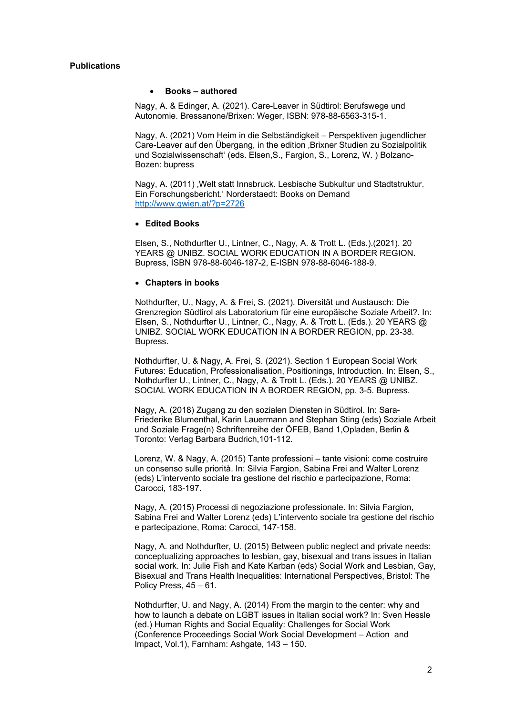#### **Books – authored**

Nagy, A. & Edinger, A. (2021). Care-Leaver in Südtirol: Berufswege und Autonomie. Bressanone/Brixen: Weger, ISBN: 978-88-6563-315-1.

Nagy, A. (2021) Vom Heim in die Selbständigkeit – Perspektiven jugendlicher Care-Leaver auf den Übergang, in the edition 'Brixner Studien zu Sozialpolitik und Sozialwissenschaft' (eds. Elsen,S., Fargion, S., Lorenz, W. ) Bolzano-Bozen: bupress

Nagy, A. (2011), Welt statt Innsbruck. Lesbische Subkultur und Stadtstruktur. Ein Forschungsbericht.' Norderstaedt: Books on Demand http://www.qwien.at/?p=2726

#### **Edited Books**

Elsen, S., Nothdurfter U., Lintner, C., Nagy, A. & Trott L. (Eds.).(2021). 20 YEARS @ UNIBZ. SOCIAL WORK EDUCATION IN A BORDER REGION. Bupress, ISBN 978-88-6046-187-2, E-ISBN 978-88-6046-188-9.

#### **Chapters in books**

Nothdurfter, U., Nagy, A. & Frei, S. (2021). Diversität und Austausch: Die Grenzregion Südtirol als Laboratorium für eine europäische Soziale Arbeit?. In: Elsen, S., Nothdurfter U., Lintner, C., Nagy, A. & Trott L. (Eds.). 20 YEARS @ UNIBZ. SOCIAL WORK EDUCATION IN A BORDER REGION, pp. 23-38. Bupress.

Nothdurfter, U. & Nagy, A. Frei, S. (2021). Section 1 European Social Work Futures: Education, Professionalisation, Positionings, Introduction. In: Elsen, S., Nothdurfter U., Lintner, C., Nagy, A. & Trott L. (Eds.). 20 YEARS @ UNIBZ. SOCIAL WORK EDUCATION IN A BORDER REGION, pp. 3-5. Bupress.

Nagy, A. (2018) Zugang zu den sozialen Diensten in Südtirol. In: Sara-Friederike Blumenthal, Karin Lauermann and Stephan Sting (eds) Soziale Arbeit und Soziale Frage(n) Schriftenreihe der ÖFEB, Band 1,Opladen, Berlin & Toronto: Verlag Barbara Budrich,101-112.

Lorenz, W. & Nagy, A. (2015) Tante professioni – tante visioni: come costruire un consenso sulle priorità. In: Silvia Fargion, Sabina Frei and Walter Lorenz (eds) L'intervento sociale tra gestione del rischio e partecipazione, Roma: Carocci, 183-197.

Nagy, A. (2015) Processi di negoziazione professionale. In: Silvia Fargion, Sabina Frei and Walter Lorenz (eds) L'intervento sociale tra gestione del rischio e partecipazione, Roma: Carocci, 147-158.

Nagy, A. and Nothdurfter, U. (2015) Between public neglect and private needs: conceptualizing approaches to lesbian, gay, bisexual and trans issues in Italian social work. In: Julie Fish and Kate Karban (eds) Social Work and Lesbian, Gay, Bisexual and Trans Health Inequalities: International Perspectives, Bristol: The Policy Press, 45 – 61.

Nothdurfter, U. and Nagy, A. (2014) From the margin to the center: why and how to launch a debate on LGBT issues in Italian social work? In: Sven Hessle (ed.) Human Rights and Social Equality: Challenges for Social Work (Conference Proceedings Social Work Social Development – Action and Impact, Vol.1), Farnham: Ashgate, 143 – 150.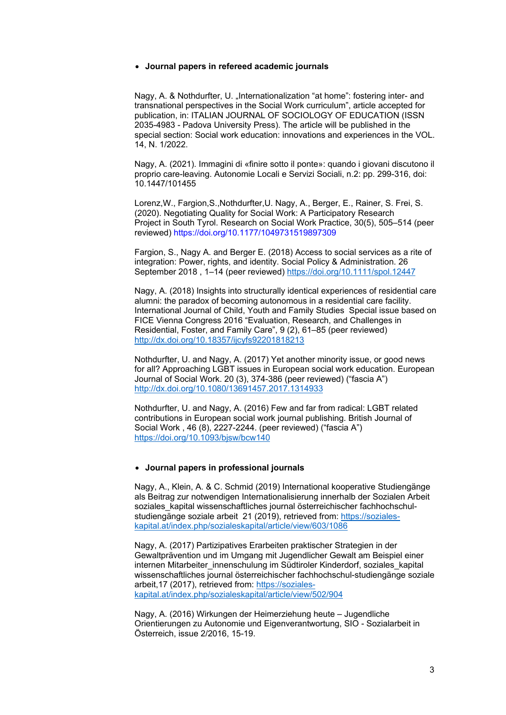#### **Journal papers in refereed academic journals**

Nagy, A. & Nothdurfter, U. "Internationalization "at home": fostering inter- and transnational perspectives in the Social Work curriculum", article accepted for publication, in: ITALIAN JOURNAL OF SOCIOLOGY OF EDUCATION (ISSN 2035-4983 - Padova University Press). The article will be published in the special section: Social work education: innovations and experiences in the VOL. 14, N. 1/2022.

Nagy, A. (2021). Immagini di «finire sotto il ponte»: quando i giovani discutono il proprio care-leaving. Autonomie Locali e Servizi Sociali, n.2: pp. 299-316, doi: 10.1447/101455

Lorenz,W., Fargion,S.,Nothdurfter,U. Nagy, A., Berger, E., Rainer, S. Frei, S. (2020). Negotiating Quality for Social Work: A Participatory Research Project in South Tyrol. Research on Social Work Practice, 30(5), 505–514 (peer reviewed) https://doi.org/10.1177/1049731519897309

Fargion, S., Nagy A. and Berger E. (2018) Access to social services as a rite of integration: Power, rights, and identity. Social Policy & Administration. 26 September 2018 , 1–14 (peer reviewed) https://doi.org/10.1111/spol.12447

Nagy, A. (2018) Insights into structurally identical experiences of residential care alumni: the paradox of becoming autonomous in a residential care facility. International Journal of Child, Youth and Family Studies Special issue based on FICE Vienna Congress 2016 "Evaluation, Research, and Challenges in Residential, Foster, and Family Care", 9 (2), 61–85 (peer reviewed) http://dx.doi.org/10.18357/ijcyfs92201818213

Nothdurfter, U. and Nagy, A. (2017) Yet another minority issue, or good news for all? Approaching LGBT issues in European social work education. European Journal of Social Work. 20 (3), 374-386 (peer reviewed) ("fascia A") http://dx.doi.org/10.1080/13691457.2017.1314933

Nothdurfter, U. and Nagy, A. (2016) Few and far from radical: LGBT related contributions in European social work journal publishing. British Journal of Social Work , 46 (8), 2227-2244. (peer reviewed) ("fascia A") https://doi.org/10.1093/bjsw/bcw140

#### **Journal papers in professional journals**

Nagy, A., Klein, A. & C. Schmid (2019) International kooperative Studiengänge als Beitrag zur notwendigen Internationalisierung innerhalb der Sozialen Arbeit soziales kapital wissenschaftliches journal österreichischer fachhochschulstudiengänge soziale arbeit 21 (2019), retrieved from: https://sozialeskapital.at/index.php/sozialeskapital/article/view/603/1086

Nagy, A. (2017) Partizipatives Erarbeiten praktischer Strategien in der Gewaltprävention und im Umgang mit Jugendlicher Gewalt am Beispiel einer internen Mitarbeiter\_innenschulung im Südtiroler Kinderdorf, soziales\_kapital wissenschaftliches journal österreichischer fachhochschul-studiengänge soziale arbeit,17 (2017), retrieved from: https://sozialeskapital.at/index.php/sozialeskapital/article/view/502/904

Nagy, A. (2016) Wirkungen der Heimerziehung heute – Jugendliche Orientierungen zu Autonomie und Eigenverantwortung, SIO - Sozialarbeit in Österreich, issue 2/2016, 15-19.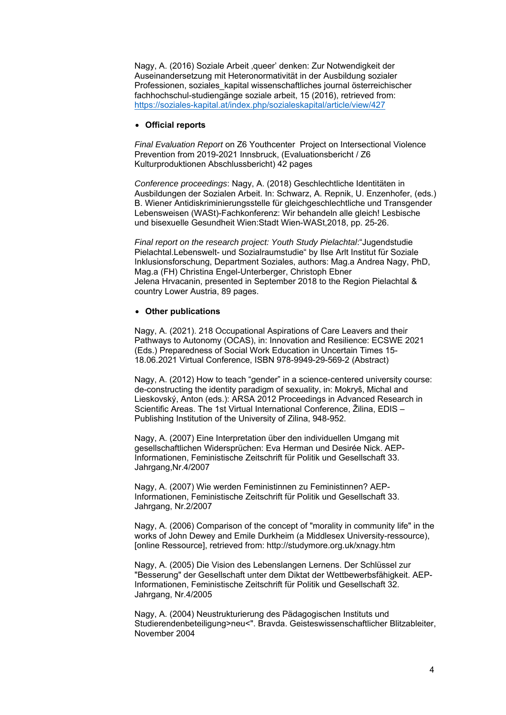Nagy, A. (2016) Soziale Arbeit ,queer' denken: Zur Notwendigkeit der Auseinandersetzung mit Heteronormativität in der Ausbildung sozialer Professionen, soziales\_kapital wissenschaftliches journal österreichischer fachhochschul-studiengänge soziale arbeit, 15 (2016), retrieved from: https://soziales-kapital.at/index.php/sozialeskapital/article/view/427

### **Official reports**

*Final Evaluation Report* on Z6 Youthcenter Project on Intersectional Violence Prevention from 2019-2021 Innsbruck, (Evaluationsbericht / Z6 Kulturproduktionen Abschlussbericht) 42 pages

*Conference proceedings*: Nagy, A. (2018) Geschlechtliche Identitäten in Ausbildungen der Sozialen Arbeit. In: Schwarz, A. Repnik, U. Enzenhofer, (eds.) B. Wiener Antidiskriminierungsstelle für gleichgeschlechtliche und Transgender Lebensweisen (WASt)-Fachkonferenz: Wir behandeln alle gleich! Lesbische und bisexuelle Gesundheit Wien:Stadt Wien-WASt,2018, pp. 25-26.

*Final report on the research project: Youth Study Pielachtal*:"Jugendstudie Pielachtal.Lebenswelt- und Sozialraumstudie" by Ilse Arlt Institut für Soziale Inklusionsforschung, Department Soziales, authors: Mag.a Andrea Nagy, PhD, Mag.a (FH) Christina Engel-Unterberger, Christoph Ebner Jelena Hrvacanin, presented in September 2018 to the Region Pielachtal & country Lower Austria, 89 pages.

#### **Other publications**

Nagy, A. (2021). 218 Occupational Aspirations of Care Leavers and their Pathways to Autonomy (OCAS), in: Innovation and Resilience: ECSWE 2021 (Eds.) Preparedness of Social Work Education in Uncertain Times 15- 18.06.2021 Virtual Conference, ISBN 978-9949-29-569-2 (Abstract)

Nagy, A. (2012) How to teach "gender" in a science-centered university course: de-constructing the identity paradigm of sexuality, in: Mokryš, Michal and Lieskovský, Anton (eds.): ARSA 2012 Proceedings in Advanced Research in Scientific Areas. The 1st Virtual International Conference, Žilina, EDIS – Publishing Institution of the University of Zilina, 948-952.

Nagy, A. (2007) Eine Interpretation über den individuellen Umgang mit gesellschaftlichen Widersprüchen: Eva Herman und Desirée Nick. AEP-Informationen, Feministische Zeitschrift für Politik und Gesellschaft 33. Jahrgang,Nr.4/2007

Nagy, A. (2007) Wie werden Feministinnen zu Feministinnen? AEP-Informationen, Feministische Zeitschrift für Politik und Gesellschaft 33. Jahrgang, Nr.2/2007

Nagy, A. (2006) Comparison of the concept of "morality in community life" in the works of John Dewey and Emile Durkheim (a Middlesex University-ressource), [online Ressource], retrieved from: http://studymore.org.uk/xnagy.htm

Nagy, A. (2005) Die Vision des Lebenslangen Lernens. Der Schlüssel zur "Besserung" der Gesellschaft unter dem Diktat der Wettbewerbsfähigkeit. AEP-Informationen, Feministische Zeitschrift für Politik und Gesellschaft 32. Jahrgang, Nr.4/2005

Nagy, A. (2004) Neustrukturierung des Pädagogischen Instituts und Studierendenbeteiligung>neu<". Bravda. Geisteswissenschaftlicher Blitzableiter, November 2004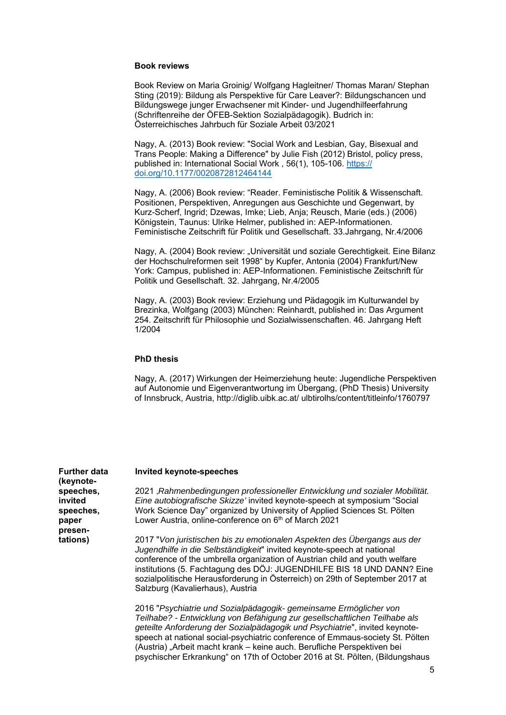#### **Book reviews**

Book Review on Maria Groinig/ Wolfgang Hagleitner/ Thomas Maran/ Stephan Sting (2019): Bildung als Perspektive für Care Leaver?: Bildungschancen und Bildungswege junger Erwachsener mit Kinder- und Jugendhilfeerfahrung (Schriftenreihe der ÖFEB-Sektion Sozialpädagogik). Budrich in: Österreichisches Jahrbuch für Soziale Arbeit 03/2021

Nagy, A. (2013) Book review: "Social Work and Lesbian, Gay, Bisexual and Trans People: Making a Difference" by Julie Fish (2012) Bristol, policy press, published in: International Social Work , 56(1), 105-106. https:// doi.org/10.1177/0020872812464144

Nagy, A. (2006) Book review: "Reader. Feministische Politik & Wissenschaft. Positionen, Perspektiven, Anregungen aus Geschichte und Gegenwart, by Kurz-Scherf, Ingrid; Dzewas, Imke; Lieb, Anja; Reusch, Marie (eds.) (2006) Königstein, Taunus: Ulrike Helmer, published in: AEP-Informationen. Feministische Zeitschrift für Politik und Gesellschaft. 33.Jahrgang, Nr.4/2006

Nagy, A. (2004) Book review: "Universität und soziale Gerechtigkeit. Eine Bilanz der Hochschulreformen seit 1998" by Kupfer, Antonia (2004) Frankfurt/New York: Campus, published in: AEP-Informationen. Feministische Zeitschrift für Politik und Gesellschaft. 32. Jahrgang, Nr.4/2005

Nagy, A. (2003) Book review: Erziehung und Pädagogik im Kulturwandel by Brezinka, Wolfgang (2003) München: Reinhardt, published in: Das Argument 254. Zeitschrift für Philosophie und Sozialwissenschaften. 46. Jahrgang Heft 1/2004

### **PhD thesis**

Nagy, A. (2017) Wirkungen der Heimerziehung heute: Jugendliche Perspektiven auf Autonomie und Eigenverantwortung im Übergang, (PhD Thesis) University of Innsbruck, Austria, http://diglib.uibk.ac.at/ ulbtirolhs/content/titleinfo/1760797

| <b>Further data</b><br>(keynote-  | Invited keynote-speeches                                                                                                                                                                                                                                                                                                                                                                                                        |
|-----------------------------------|---------------------------------------------------------------------------------------------------------------------------------------------------------------------------------------------------------------------------------------------------------------------------------------------------------------------------------------------------------------------------------------------------------------------------------|
| speeches,<br>invited<br>speeches, | 2021, Rahmenbedingungen professioneller Entwicklung und sozialer Mobilität.<br>Eine autobiografische Skizze' invited keynote-speech at symposium "Social<br>Work Science Day" organized by University of Applied Sciences St. Pölten                                                                                                                                                                                            |
| paper<br>presen-                  | Lower Austria, online-conference on 6 <sup>th</sup> of March 2021                                                                                                                                                                                                                                                                                                                                                               |
| tations)                          | 2017 "Von juristischen bis zu emotionalen Aspekten des Übergangs aus der<br>Jugendhilfe in die Selbständigkeit" invited keynote-speech at national<br>conference of the umbrella organization of Austrian child and youth welfare<br>institutions (5. Fachtagung des DÖJ: JUGENDHILFE BIS 18 UND DANN? Eine<br>sozialpolitische Herausforderung in Österreich) on 29th of September 2017 at<br>Salzburg (Kavalierhaus), Austria |
|                                   |                                                                                                                                                                                                                                                                                                                                                                                                                                 |

2016 "*Psychiatrie und Sozialpädagogik- gemeinsame Ermöglicher von Teilhabe? - Entwicklung von Befähigung zur gesellschaftlichen Teilhabe als geteilte Anforderung der Sozialpädagogik und Psychiatrie*", invited keynotespeech at national social-psychiatric conference of Emmaus-society St. Pölten (Austria) "Arbeit macht krank – keine auch. Berufliche Perspektiven bei psychischer Erkrankung" on 17th of October 2016 at St. Pölten, (Bildungshaus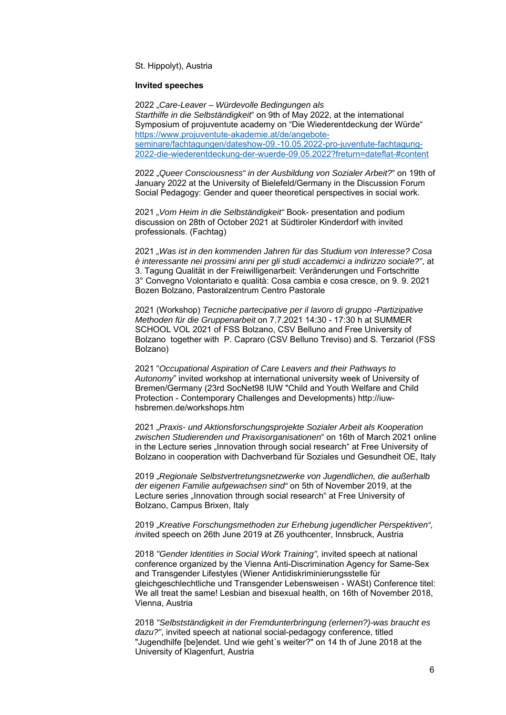#### St. Hippolyt), Austria

#### **Invited speeches**

2022 "*Care-Leaver – Würdevolle Bedingungen als Starthilfe in die Selbständigkeit*" on 9th of May 2022, at the international Symposium of projuventute academy on "Die Wiederentdeckung der Würde" https://www.projuventute-akademie.at/de/angeboteseminare/fachtagungen/dateshow-09.-10.05.2022-pro-juventute-fachtagung-2022-die-wiederentdeckung-der-wuerde-09.05.2022?freturn=dateflat-#content

2022 "*Queer Consciousness" in der Ausbildung von Sozialer Arbeit?*" on 19th of January 2022 at the University of Bielefeld/Germany in the Discussion Forum Social Pedagogy: Gender and queer theoretical perspectives in social work.

2021 *"Vom Heim in die Selbständigkeit"* Book- presentation and podium discussion on 28th of October 2021 at Südtiroler Kinderdorf with invited professionals. (Fachtag)

2021 *"Was ist in den kommenden Jahren für das Studium von Interesse? Cosa è interessante nei prossimi anni per gli studi accademici a indirizzo sociale?"*, at 3. Tagung Qualität in der Freiwilligenarbeit: Veränderungen und Fortschritte 3° Convegno Volontariato e qualità: Cosa cambia e cosa cresce, on 9. 9. 2021 Bozen Bolzano, Pastoralzentrum Centro Pastorale

2021 (Workshop) *Tecniche partecipative per il lavoro di gruppo -Partizipative Methoden für die Gruppenarbeit* on 7.7.2021 14:30 - 17:30 h at SUMMER SCHOOL VOL 2021 of FSS Bolzano, CSV Belluno and Free University of Bolzano together with P. Capraro (CSV Belluno Treviso) and S. Terzariol (FSS Bolzano)

2021 "*Occupational Aspiration of Care Leavers and their Pathways to Autonomy*" invited workshop at international university week of University of Bremen/Germany (23rd SocNet98 IUW "Child and Youth Welfare and Child Protection - Contemporary Challenges and Developments) http://iuwhsbremen.de/workshops.htm

2021 "*Praxis- und Aktionsforschungsprojekte Sozialer Arbeit als Kooperation zwischen Studierenden und Praxisorganisationen*" on 16th of March 2021 online in the Lecture series "Innovation through social research" at Free University of Bolzano in cooperation with Dachverband für Soziales und Gesundheit OE, Italy

2019 "*Regionale Selbstvertretungsnetzwerke von Jugendlichen, die außerhalb der eigenen Familie aufgewachsen sind"* on 5th of November 2019, at the Lecture series "Innovation through social research" at Free University of Bolzano, Campus Brixen, Italy

2019 "*Kreative Forschungsmethoden zur Erhebung jugendlicher Perspektiven", i*nvited speech on 26th June 2019 at Z6 youthcenter, Innsbruck, Austria

2018 *"Gender Identities in Social Work Training",* invited speech at national conference organized by the Vienna Anti-Discrimination Agency for Same-Sex and Transgender Lifestyles (Wiener Antidiskriminierungsstelle für gleichgeschlechtliche und Transgender Lebensweisen - WASt) Conference titel: We all treat the same! Lesbian and bisexual health, on 16th of November 2018, Vienna, Austria

2018 *"Selbstständigkeit in der Fremdunterbringung (erlernen?)-was braucht es dazu?"*, invited speech at national social-pedagogy conference, titled "Jugendhilfe [be]endet. Und wie geht´s weiter?" on 14 th of June 2018 at the University of Klagenfurt, Austria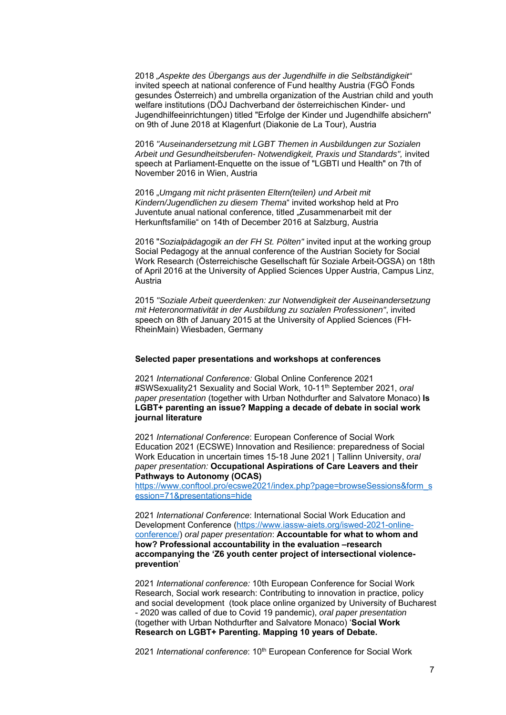2018 *"Aspekte des Übergangs aus der Jugendhilfe in die Selbständigkeit"* invited speech at national conference of Fund healthy Austria (FGÖ Fonds gesundes Österreich) and umbrella organization of the Austrian child and youth welfare institutions (DÖJ Dachverband der österreichischen Kinder- und Jugendhilfeeinrichtungen) titled "Erfolge der Kinder und Jugendhilfe absichern" on 9th of June 2018 at Klagenfurt (Diakonie de La Tour), Austria

2016 *"Auseinandersetzung mit LGBT Themen in Ausbildungen zur Sozialen Arbeit und Gesundheitsberufen- Notwendigkeit, Praxis und Standards",* invited speech at Parliament-Enquette on the issue of "LGBTI und Health" on 7th of November 2016 in Wien, Austria

2016 "*Umgang mit nicht präsenten Eltern(teilen) und Arbeit mit Kindern/Jugendlichen zu diesem Thema*" invited workshop held at Pro Juventute anual national conference, titled "Zusammenarbeit mit der Herkunftsfamilie" on 14th of December 2016 at Salzburg, Austria

2016 "*Sozialpädagogik an der FH St. Pölten"* invited input at the working group Social Pedagogy at the annual conference of the Austrian Society for Social Work Research (Österreichische Gesellschaft für Soziale Arbeit-OGSA) on 18th of April 2016 at the University of Applied Sciences Upper Austria, Campus Linz, Austria

2015 *"Soziale Arbeit queerdenken: zur Notwendigkeit der Auseinandersetzung mit Heteronormativität in der Ausbildung zu sozialen Professionen"*, invited speech on 8th of January 2015 at the University of Applied Sciences (FH-RheinMain) Wiesbaden, Germany

#### **Selected paper presentations and workshops at conferences**

2021 *International Conference:* Global Online Conference 2021 #SWSexuality21 Sexuality and Social Work, 10-11<sup>th</sup> September 2021, oral *paper presentation* (together with Urban Nothdurfter and Salvatore Monaco) **Is LGBT+ parenting an issue? Mapping a decade of debate in social work journal literature** 

2021 *International Conference*: European Conference of Social Work Education 2021 (ECSWE) Innovation and Resilience: preparedness of Social Work Education in uncertain times 15-18 June 2021 | Tallinn University, *oral paper presentation:* **Occupational Aspirations of Care Leavers and their Pathways to Autonomy (OCAS)** 

https://www.conftool.pro/ecswe2021/index.php?page=browseSessions&form\_s ession=71&presentations=hide

2021 *International Conference*: International Social Work Education and Development Conference (https://www.iassw-aiets.org/iswed-2021-onlineconference/) *oral paper presentation*: **Accountable for what to whom and how? Professional accountability in the evaluation –research accompanying the 'Z6 youth center project of intersectional violenceprevention**'

2021 *International conference:* 10th European Conference for Social Work Research, Social work research: Contributing to innovation in practice, policy and social development (took place online organized by University of Bucharest - 2020 was called of due to Covid 19 pandemic), *oral paper presentation* (together with Urban Nothdurfter and Salvatore Monaco) '**Social Work Research on LGBT+ Parenting. Mapping 10 years of Debate.** 

2021 International conference: 10<sup>th</sup> European Conference for Social Work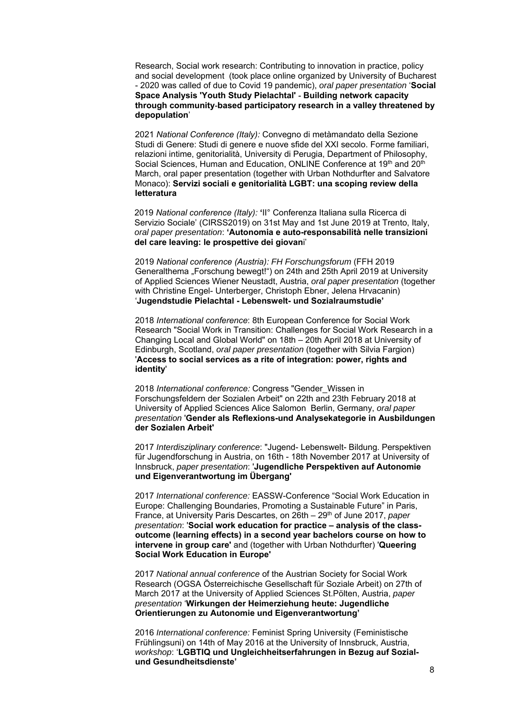Research, Social work research: Contributing to innovation in practice, policy and social development (took place online organized by University of Bucharest - 2020 was called of due to Covid 19 pandemic), *oral paper presentation* '**Social Space Analysis 'Youth Study Pielachtal'** - **Building network capacity through community**-**based participatory research in a valley threatened by depopulation**'

2021 *National Conference (Italy):* Convegno di metàmandato della Sezione Studi di Genere: Studi di genere e nuove sfide del XXI secolo. Forme familiari, relazioni intime, genitorialità, University di Perugia, Department of Philosophy, Social Sciences, Human and Education, ONLINE Conference at 19<sup>th</sup> and 20<sup>th</sup> March, oral paper presentation (together with Urban Nothdurfter and Salvatore Monaco): **Servizi sociali e genitorialità LGBT: una scoping review della letteratura**

2019 *National conference (Italy):* **'**II° Conferenza Italiana sulla Ricerca di Servizio Sociale' (CIRSS2019) on 31st May and 1st June 2019 at Trento, Italy, *oral paper presentation*: **'Autonomia e auto-responsabilità nelle transizioni del care leaving: le prospettive dei giovan**i'

2019 *National conference (Austria): FH Forschungsforum* (FFH 2019 Generalthema "Forschung bewegt!") on 24th and 25th April 2019 at University of Applied Sciences Wiener Neustadt, Austria, *oral paper presentation* (together with Christine Engel- Unterberger, Christoph Ebner, Jelena Hrvacanin) '**Jugendstudie Pielachtal - Lebenswelt- und Sozialraumstudie'** 

2018 *International conference*: 8th European Conference for Social Work Research "Social Work in Transition: Challenges for Social Work Research in a Changing Local and Global World" on 18th – 20th April 2018 at University of Edinburgh, Scotland, *oral paper presentation* (together with Silvia Fargion) '**Access to social services as a rite of integration: power, rights and identity**'

2018 *International conference:* Congress "Gender\_Wissen in Forschungsfeldern der Sozialen Arbeit" on 22th and 23th February 2018 at University of Applied Sciences Alice Salomon Berlin, Germany, *oral paper presentation* '**Gender als Reflexions-und Analysekategorie in Ausbildungen der Sozialen Arbeit'**

2017 *Interdisziplinary conference*: "Jugend- Lebenswelt- Bildung. Perspektiven für Jugendforschung in Austria, on 16th - 18th November 2017 at University of Innsbruck, *paper presentation*: '**Jugendliche Perspektiven auf Autonomie und Eigenverantwortung im Übergang'** 

2017 *International conference:* EASSW-Conference "Social Work Education in Europe: Challenging Boundaries, Promoting a Sustainable Future" in Paris, France, at University Paris Descartes, on 26th - 29<sup>th</sup> of June 2017, *paper presentation*: '**Social work education for practice – analysis of the classoutcome (learning effects) in a second year bachelors course on how to intervene in group care'** and (together with Urban Nothdurfter) '**Queering Social Work Education in Europe'** 

2017 *National annual conference* of the Austrian Society for Social Work Research (OGSA Österreichische Gesellschaft für Soziale Arbeit) on 27th of March 2017 at the University of Applied Sciences St.Pölten, Austria, *paper presentation* '**Wirkungen der Heimerziehung heute: Jugendliche Orientierungen zu Autonomie und Eigenverantwortung'** 

2016 *International conference:* Feminist Spring University (Feministische Frühlingsuni) on 14th of May 2016 at the University of Innsbruck, Austria, *workshop*: '**LGBTIQ und Ungleichheitserfahrungen in Bezug auf Sozialund Gesundheitsdienste'**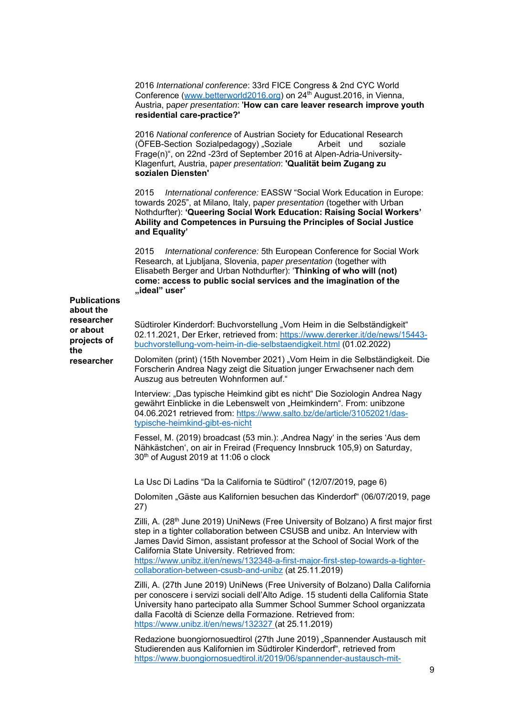2016 *International conference*: 33rd FICE Congress & 2nd CYC World Conference (www.betterworld2016.org) on 24<sup>th</sup> August.2016, in Vienna, Austria, p*aper presentation*: '**How can care leaver research improve youth residential care-practice?'** 

2016 *National conference* of Austrian Society for Educational Research (ÖFEB-Section Sozialpedagogy) "Soziale Arbeit und soziale Frage(n)", on 22nd -23rd of September 2016 at Alpen-Adria-University-Klagenfurt, Austria, p*aper presentation*: **'Qualität beim Zugang zu sozialen Diensten'** 

2015 *International conference:* EASSW "Social Work Education in Europe: towards 2025", at Milano, Italy, p*aper presentation* (together with Urban Nothdurfter): **'Queering Social Work Education: Raising Social Workers' Ability and Competences in Pursuing the Principles of Social Justice and Equality'** 

2015 *International conference:* 5th European Conference for Social Work Research, at Ljubljana, Slovenia, p*aper presentation* (together with Elisabeth Berger and Urban Nothdurfter): '**Thinking of who will (not) come: access to public social services and the imagination of the "ideal" user'** 

**Publications about the researcher or about projects of the researcher**

Südtiroler Kinderdorf: Buchvorstellung "Vom Heim in die Selbständigkeit" 02.11.2021, Der Erker, retrieved from: https://www.dererker.it/de/news/15443 buchvorstellung-vom-heim-in-die-selbstaendigkeit.html (01.02.2022)

Dolomiten (print) (15th November 2021) "Vom Heim in die Selbständigkeit. Die Forscherin Andrea Nagy zeigt die Situation junger Erwachsener nach dem Auszug aus betreuten Wohnformen auf."

Interview: "Das typische Heimkind gibt es nicht" Die Soziologin Andrea Nagy gewährt Einblicke in die Lebenswelt von "Heimkindern". From: unibzone 04.06.2021 retrieved from: https://www.salto.bz/de/article/31052021/dastypische-heimkind-gibt-es-nicht

Fessel, M. (2019) broadcast (53 min.): ,Andrea Nagy' in the series 'Aus dem Nähkästchen', on air in Freirad (Frequency Innsbruck 105,9) on Saturday, 30th of August 2019 at 11:06 o clock

La Usc Di Ladins "Da la California te Südtirol" (12/07/2019, page 6)

Dolomiten "Gäste aus Kalifornien besuchen das Kinderdorf" (06/07/2019, page 27)

Zilli, A. (28<sup>th</sup> June 2019) UniNews (Free University of Bolzano) A first major first step in a tighter collaboration between CSUSB and unibz. An Interview with James David Simon, assistant professor at the School of Social Work of the California State University. Retrieved from:

https://www.unibz.it/en/news/132348-a-first-major-first-step-towards-a-tightercollaboration-between-csusb-and-unibz (at 25.11.2019)

Zilli, A. (27th June 2019) UniNews (Free University of Bolzano) Dalla California per conoscere i servizi sociali dell'Alto Adige. 15 studenti della California State University hano partecipato alla Summer School Summer School organizzata dalla Facoltà di Scienze della Formazione. Retrieved from: https://www.unibz.it/en/news/132327 (at 25.11.2019)

Redazione buongiornosuedtirol (27th June 2019) "Spannender Austausch mit Studierenden aus Kalifornien im Südtiroler Kinderdorf", retrieved from https://www.buongiornosuedtirol.it/2019/06/spannender-austausch-mit